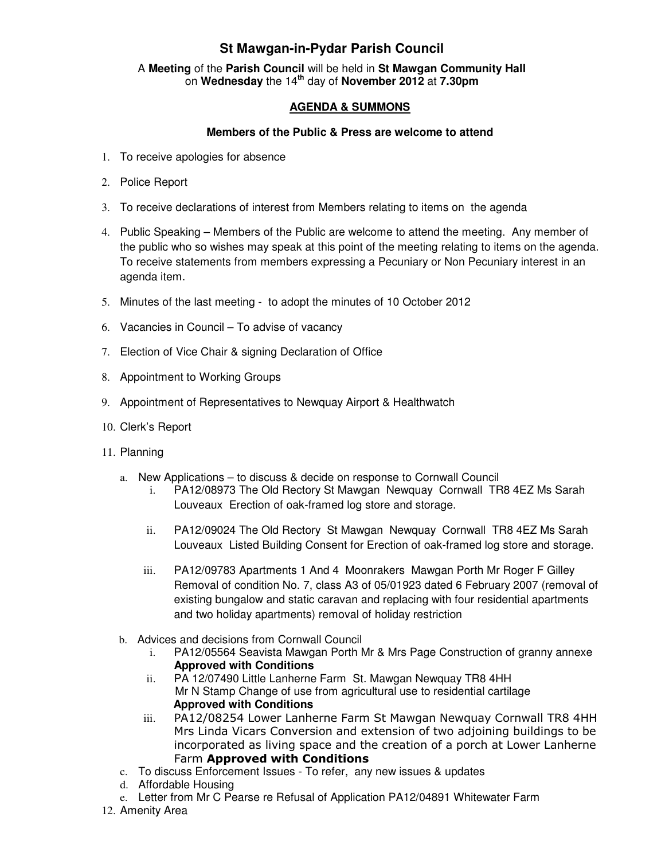## **St Mawgan-in-Pydar Parish Council**

A **Meeting** of the **Parish Council** will be held in **St Mawgan Community Hall** on **Wednesday** the 14**th** day of **November 2012** at **7.30pm** 

## **AGENDA & SUMMONS**

## **Members of the Public & Press are welcome to attend**

- 1. To receive apologies for absence
- 2. Police Report
- 3. To receive declarations of interest from Members relating to items on the agenda
- 4. Public Speaking Members of the Public are welcome to attend the meeting. Any member of the public who so wishes may speak at this point of the meeting relating to items on the agenda. To receive statements from members expressing a Pecuniary or Non Pecuniary interest in an agenda item.
- 5. Minutes of the last meeting to adopt the minutes of 10 October 2012
- 6. Vacancies in Council To advise of vacancy
- 7. Election of Vice Chair & signing Declaration of Office
- 8. Appointment to Working Groups
- 9. Appointment of Representatives to Newquay Airport & Healthwatch
- 10. Clerk's Report
- 11. Planning
	- a. New Applications to discuss & decide on response to Cornwall Council
		- i. PA12/08973 The Old Rectory St Mawgan Newquay Cornwall TR8 4EZ Ms Sarah Louveaux Erection of oak-framed log store and storage.
		- ii. PA12/09024 The Old Rectory St Mawgan Newquay Cornwall TR8 4EZ Ms Sarah Louveaux Listed Building Consent for Erection of oak-framed log store and storage.
		- iii. PA12/09783 Apartments 1 And 4 Moonrakers Mawgan Porth Mr Roger F Gilley Removal of condition No. 7, class A3 of 05/01923 dated 6 February 2007 (removal of existing bungalow and static caravan and replacing with four residential apartments and two holiday apartments) removal of holiday restriction
	- b. Advices and decisions from Cornwall Council
		- i. PA12/05564 Seavista Mawgan Porth Mr & Mrs Page Construction of granny annexe **Approved with Conditions**
		- ii. PA 12/07490 Little Lanherne Farm St. Mawgan Newquay TR8 4HH Mr N Stamp Change of use from agricultural use to residential cartilage **Approved with Conditions**
		- iii. PA12/08254 Lower Lanherne Farm St Mawgan Newquay Cornwall TR8 4HH Mrs Linda Vicars Conversion and extension of two adjoining buildings to be incorporated as living space and the creation of a porch at Lower Lanherne Farm Approved with Conditions
	- c. To discuss Enforcement Issues To refer, any new issues & updates
	- d. Affordable Housing
	- e. Letter from Mr C Pearse re Refusal of Application PA12/04891 Whitewater Farm
- 12. Amenity Area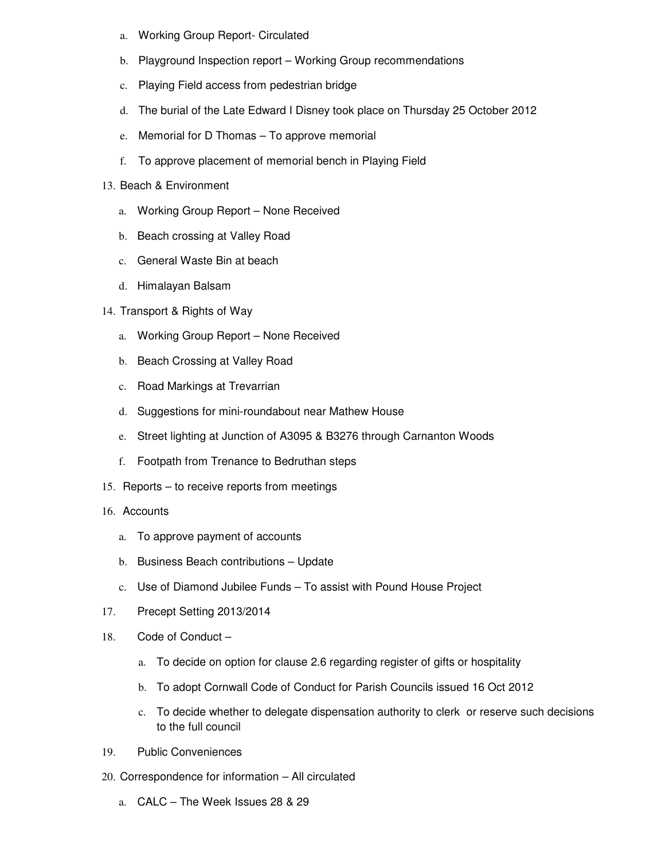- a. Working Group Report- Circulated
- b. Playground Inspection report Working Group recommendations
- c. Playing Field access from pedestrian bridge
- d. The burial of the Late Edward I Disney took place on Thursday 25 October 2012
- e. Memorial for D Thomas To approve memorial
- f. To approve placement of memorial bench in Playing Field
- 13. Beach & Environment
	- a. Working Group Report None Received
	- b. Beach crossing at Valley Road
	- c. General Waste Bin at beach
	- d. Himalayan Balsam
- 14. Transport & Rights of Way
	- a. Working Group Report None Received
	- b. Beach Crossing at Valley Road
	- c. Road Markings at Trevarrian
	- d. Suggestions for mini-roundabout near Mathew House
	- e. Street lighting at Junction of A3095 & B3276 through Carnanton Woods
	- f. Footpath from Trenance to Bedruthan steps
- 15. Reports to receive reports from meetings
- 16. Accounts
	- a. To approve payment of accounts
	- b. Business Beach contributions Update
	- c. Use of Diamond Jubilee Funds To assist with Pound House Project
- 17. Precept Setting 2013/2014
- 18. Code of Conduct
	- a. To decide on option for clause 2.6 regarding register of gifts or hospitality
	- b. To adopt Cornwall Code of Conduct for Parish Councils issued 16 Oct 2012
	- c. To decide whether to delegate dispensation authority to clerk or reserve such decisions to the full council
- 19. Public Conveniences
- 20. Correspondence for information All circulated
	- a. CALC The Week Issues 28 & 29